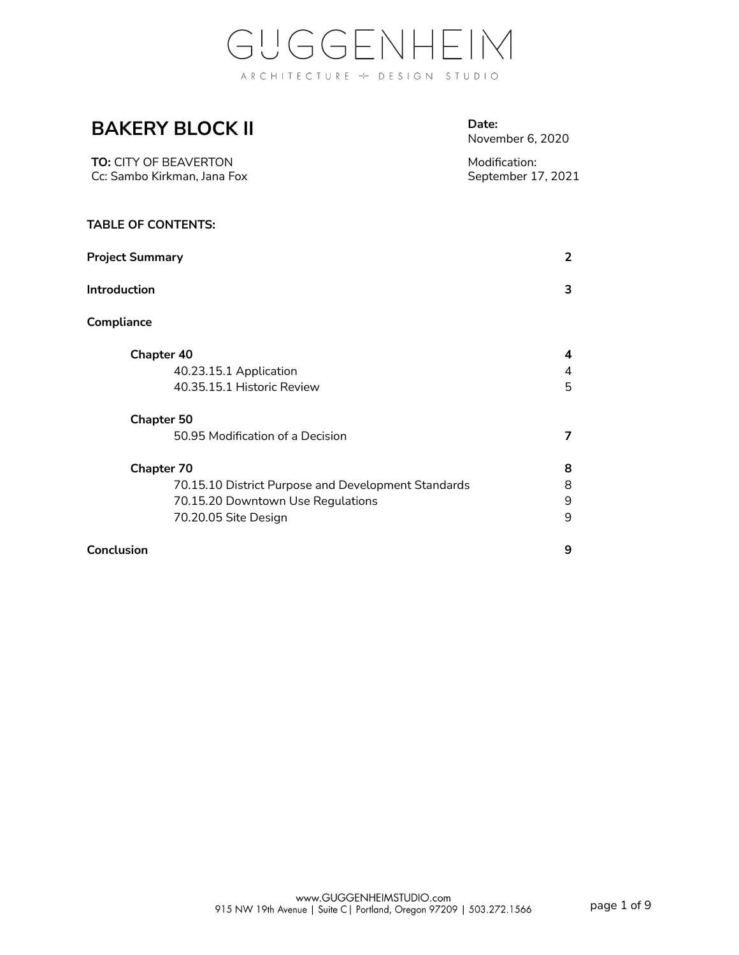### **BAKERY BLOCK II**

**Date:** November 6, 2020

| <b>TO:</b> CITY OF BEAVERTON | Modification:      |
|------------------------------|--------------------|
| Cc: Sambo Kirkman. Jana Fox  | September 17, 2021 |

#### **TABLE OF CONTENTS:**

| <b>Project Summary</b>                              | $\overline{2}$ |
|-----------------------------------------------------|----------------|
| Introduction                                        | 3              |
| Compliance                                          |                |
| Chapter 40                                          | 4              |
| 40.23.15.1 Application                              | 4              |
| 40.35.15.1 Historic Review                          | 5              |
| <b>Chapter 50</b>                                   |                |
| 50.95 Modification of a Decision                    | 7              |
| <b>Chapter 70</b>                                   | 8              |
| 70.15.10 District Purpose and Development Standards | 8              |
| 70.15.20 Downtown Use Regulations                   | 9              |
| 70.20.05 Site Design                                | 9              |
| Conclusion                                          | 9              |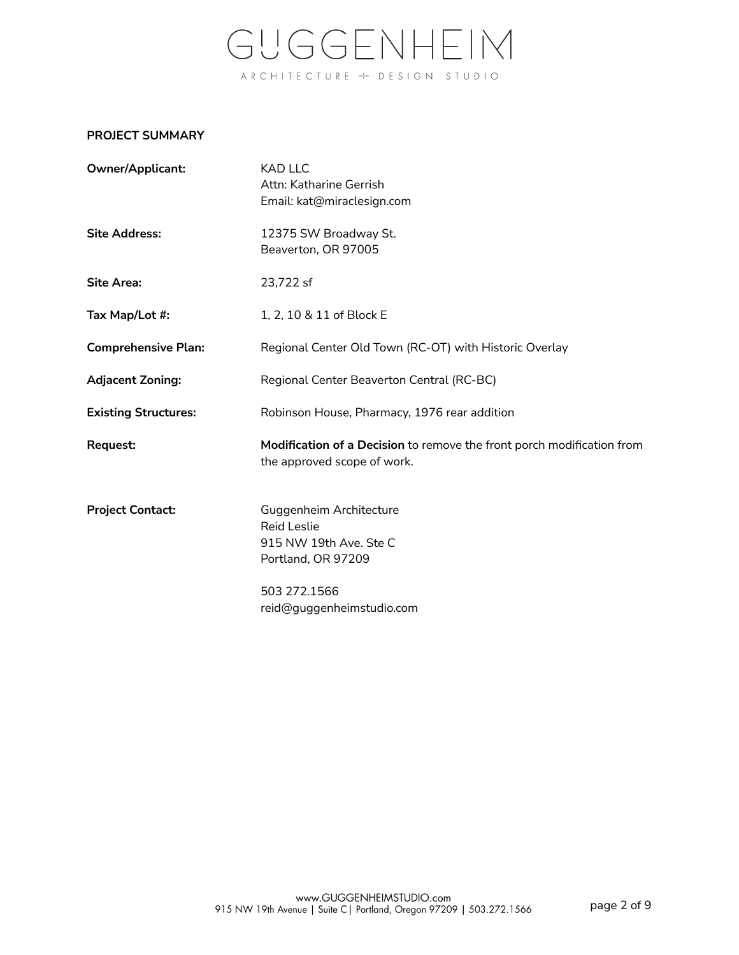### **PROJECT SUMMARY**

| Owner/Applicant:            | <b>KAD LLC</b><br>Attn: Katharine Gerrish<br>Email: kat@miraclesign.com                                                                    |
|-----------------------------|--------------------------------------------------------------------------------------------------------------------------------------------|
| <b>Site Address:</b>        | 12375 SW Broadway St.<br>Beaverton, OR 97005                                                                                               |
| <b>Site Area:</b>           | 23,722 sf                                                                                                                                  |
| Tax Map/Lot #:              | 1, 2, 10 & 11 of Block E                                                                                                                   |
| <b>Comprehensive Plan:</b>  | Regional Center Old Town (RC-OT) with Historic Overlay                                                                                     |
| <b>Adjacent Zoning:</b>     | Regional Center Beaverton Central (RC-BC)                                                                                                  |
| <b>Existing Structures:</b> | Robinson House, Pharmacy, 1976 rear addition                                                                                               |
| Request:                    | Modification of a Decision to remove the front porch modification from<br>the approved scope of work.                                      |
| <b>Project Contact:</b>     | Guggenheim Architecture<br><b>Reid Leslie</b><br>915 NW 19th Ave. Ste C<br>Portland, OR 97209<br>503 272.1566<br>reid@guggenheimstudio.com |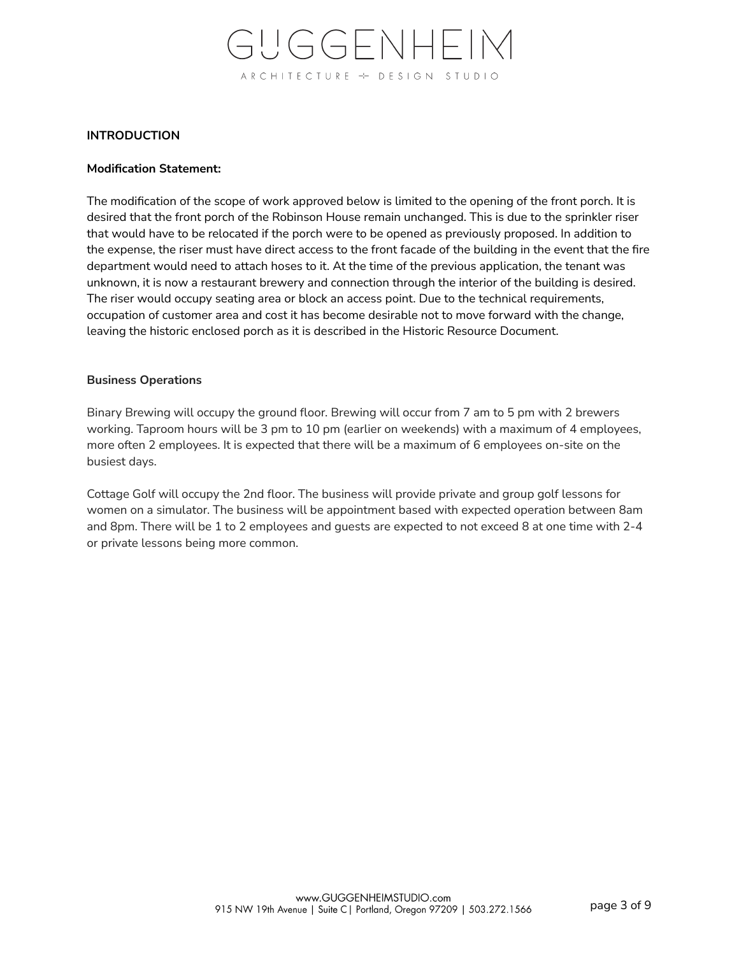#### **INTRODUCTION**

#### **Modification Statement:**

The modification of the scope of work approved below is limited to the opening of the front porch. It is desired that the front porch of the Robinson House remain unchanged. This is due to the sprinkler riser that would have to be relocated if the porch were to be opened as previously proposed. In addition to the expense, the riser must have direct access to the front facade of the building in the event that the fire department would need to attach hoses to it. At the time of the previous application, the tenant was unknown, it is now a restaurant brewery and connection through the interior of the building is desired. The riser would occupy seating area or block an access point. Due to the technical requirements, occupation of customer area and cost it has become desirable not to move forward with the change, leaving the historic enclosed porch as it is described in the Historic Resource Document.

#### **Business Operations**

Binary Brewing will occupy the ground floor. Brewing will occur from 7 am to 5 pm with 2 brewers working. Taproom hours will be 3 pm to 10 pm (earlier on weekends) with a maximum of 4 employees, more often 2 employees. It is expected that there will be a maximum of 6 employees on-site on the busiest days.

Cottage Golf will occupy the 2nd floor. The business will provide private and group golf lessons for women on a simulator. The business will be appointment based with expected operation between 8am and 8pm. There will be 1 to 2 employees and guests are expected to not exceed 8 at one time with 2-4 or private lessons being more common.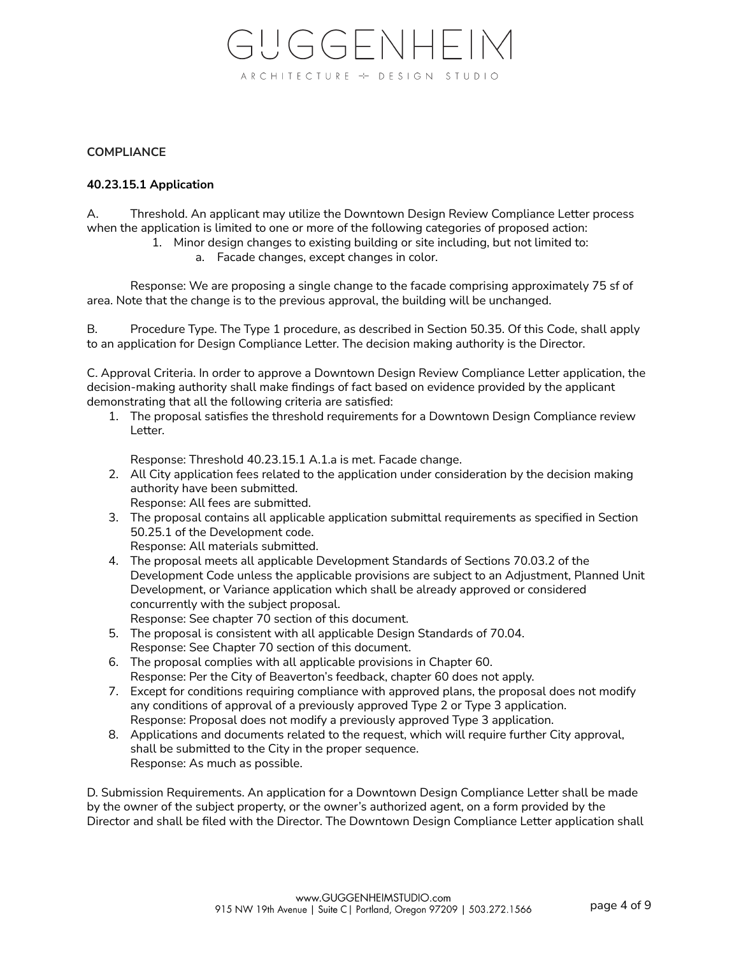#### **COMPLIANCE**

#### **40.23.15.1 Application**

A. Threshold. An applicant may utilize the Downtown Design Review Compliance Letter process when the application is limited to one or more of the following categories of proposed action:

- 1. Minor design changes to existing building or site including, but not limited to:
	- a. Facade changes, except changes in color.

Response: We are proposing a single change to the facade comprising approximately 75 sf of area. Note that the change is to the previous approval, the building will be unchanged.

B. Procedure Type. The Type 1 procedure, as described in Section 50.35. Of this Code, shall apply to an application for Design Compliance Letter. The decision making authority is the Director.

C. Approval Criteria. In order to approve a Downtown Design Review Compliance Letter application, the decision-making authority shall make findings of fact based on evidence provided by the applicant demonstrating that all the following criteria are satisfied:

1. The proposal satisfies the threshold requirements for a Downtown Design Compliance review Letter.

Response: Threshold 40.23.15.1 A.1.a is met. Facade change.

- 2. All City application fees related to the application under consideration by the decision making authority have been submitted. Response: All fees are submitted.
- 3. The proposal contains all applicable application submittal requirements as specified in Section 50.25.1 of the Development code. Response: All materials submitted.
	-
- 4. The proposal meets all applicable Development Standards of Sections 70.03.2 of the Development Code unless the applicable provisions are subject to an Adjustment, Planned Unit Development, or Variance application which shall be already approved or considered concurrently with the subject proposal.

Response: See chapter 70 section of this document.

- 5. The proposal is consistent with all applicable Design Standards of 70.04. Response: See Chapter 70 section of this document.
- 6. The proposal complies with all applicable provisions in Chapter 60. Response: Per the City of Beaverton's feedback, chapter 60 does not apply.
- 7. Except for conditions requiring compliance with approved plans, the proposal does not modify any conditions of approval of a previously approved Type 2 or Type 3 application. Response: Proposal does not modify a previously approved Type 3 application.
- 8. Applications and documents related to the request, which will require further City approval, shall be submitted to the City in the proper sequence. Response: As much as possible.

D. Submission Requirements. An application for a Downtown Design Compliance Letter shall be made by the owner of the subject property, or the owner's authorized agent, on a form provided by the Director and shall be filed with the Director. The Downtown Design Compliance Letter application shall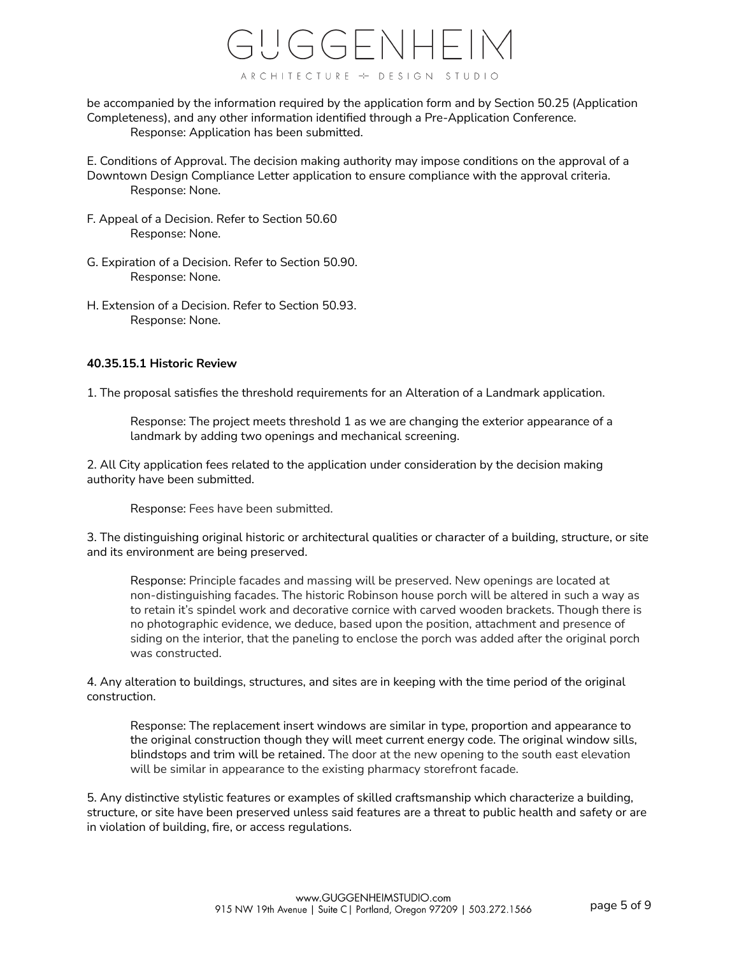

be accompanied by the information required by the application form and by Section 50.25 (Application Completeness), and any other information identified through a Pre-Application Conference. Response: Application has been submitted.

- E. Conditions of Approval. The decision making authority may impose conditions on the approval of a Downtown Design Compliance Letter application to ensure compliance with the approval criteria. Response: None.
- F. Appeal of a Decision. Refer to Section 50.60 Response: None.
- G. Expiration of a Decision. Refer to Section 50.90. Response: None.
- H. Extension of a Decision. Refer to Section 50.93. Response: None.

#### **40.35.15.1 Historic Review**

1. The proposal satisfies the threshold requirements for an Alteration of a Landmark application.

Response: The project meets threshold 1 as we are changing the exterior appearance of a landmark by adding two openings and mechanical screening.

2. All City application fees related to the application under consideration by the decision making authority have been submitted.

Response: Fees have been submitted.

3. The distinguishing original historic or architectural qualities or character of a building, structure, or site and its environment are being preserved.

Response: Principle facades and massing will be preserved. New openings are located at non-distinguishing facades. The historic Robinson house porch will be altered in such a way as to retain it's spindel work and decorative cornice with carved wooden brackets. Though there is no photographic evidence, we deduce, based upon the position, attachment and presence of siding on the interior, that the paneling to enclose the porch was added after the original porch was constructed.

4. Any alteration to buildings, structures, and sites are in keeping with the time period of the original construction.

Response: The replacement insert windows are similar in type, proportion and appearance to the original construction though they will meet current energy code. The original window sills, blindstops and trim will be retained. The door at the new opening to the south east elevation will be similar in appearance to the existing pharmacy storefront facade.

5. Any distinctive stylistic features or examples of skilled craftsmanship which characterize a building, structure, or site have been preserved unless said features are a threat to public health and safety or are in violation of building, fire, or access regulations.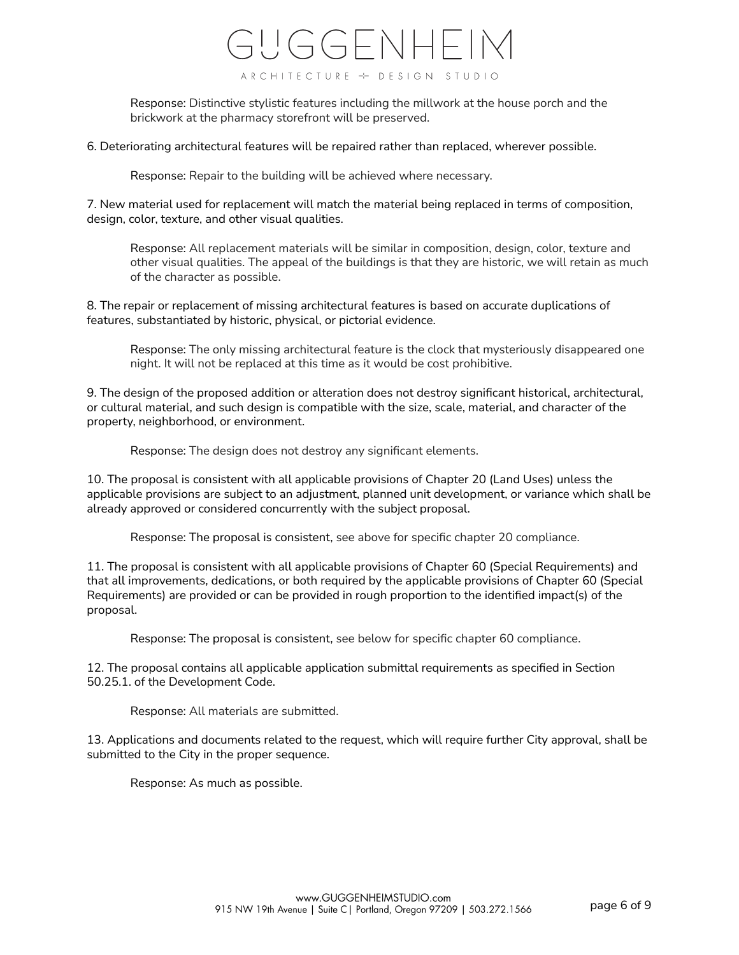Response: Distinctive stylistic features including the millwork at the house porch and the brickwork at the pharmacy storefront will be preserved.

6. Deteriorating architectural features will be repaired rather than replaced, wherever possible.

Response: Repair to the building will be achieved where necessary.

7. New material used for replacement will match the material being replaced in terms of composition, design, color, texture, and other visual qualities.

Response: All replacement materials will be similar in composition, design, color, texture and other visual qualities. The appeal of the buildings is that they are historic, we will retain as much of the character as possible.

8. The repair or replacement of missing architectural features is based on accurate duplications of features, substantiated by historic, physical, or pictorial evidence.

Response: The only missing architectural feature is the clock that mysteriously disappeared one night. It will not be replaced at this time as it would be cost prohibitive.

9. The design of the proposed addition or alteration does not destroy significant historical, architectural, or cultural material, and such design is compatible with the size, scale, material, and character of the property, neighborhood, or environment.

Response: The design does not destroy any significant elements.

10. The proposal is consistent with all applicable provisions of Chapter 20 (Land Uses) unless the applicable provisions are subject to an adjustment, planned unit development, or variance which shall be already approved or considered concurrently with the subject proposal.

Response: The proposal is consistent, see above for specific chapter 20 compliance.

11. The proposal is consistent with all applicable provisions of Chapter 60 (Special Requirements) and that all improvements, dedications, or both required by the applicable provisions of Chapter 60 (Special Requirements) are provided or can be provided in rough proportion to the identified impact(s) of the proposal.

Response: The proposal is consistent, see below for specific chapter 60 compliance.

12. The proposal contains all applicable application submittal requirements as specified in Section 50.25.1. of the Development Code.

Response: All materials are submitted.

13. Applications and documents related to the request, which will require further City approval, shall be submitted to the City in the proper sequence.

Response: As much as possible.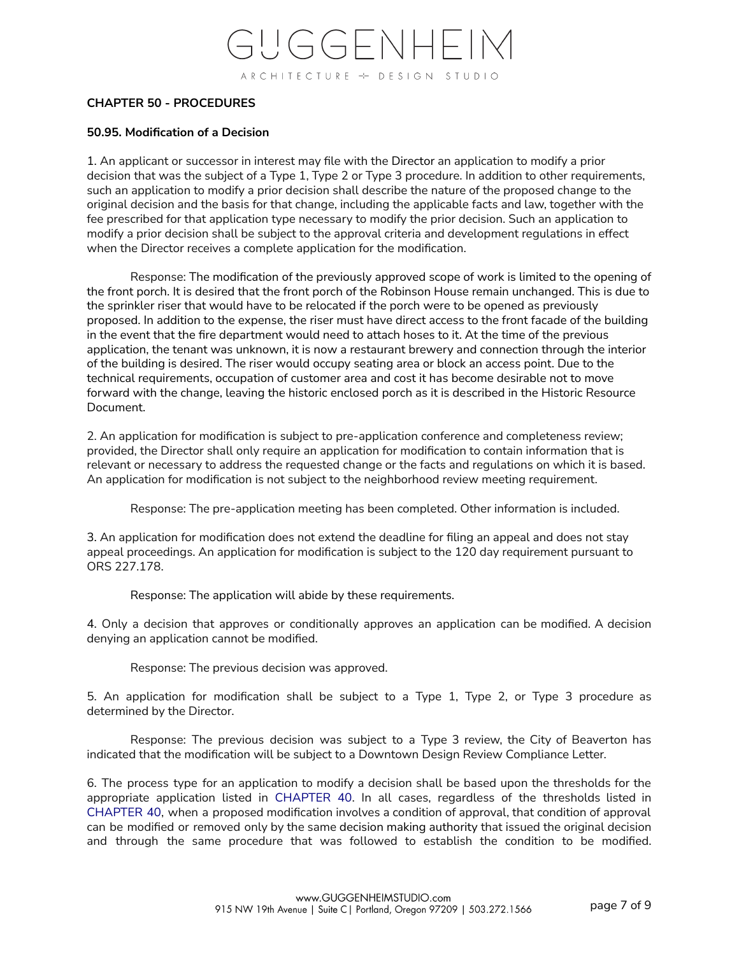#### **CHAPTER 50 - PROCEDURES**

#### **50.95. Modification of a Decision**

1. An applicant or successor in interest may file with the [Director](http://online.encodeplus.com/regs/beaverton-or/doc-view.aspx?pn=0&ajax=0&secid=976) an application to modify a prior decision that was the subject of a Type 1, Type 2 or Type 3 procedure. In addition to other requirements, such an application to modify a prior decision shall describe the nature of the proposed change to the original decision and the basis for that change, including the applicable facts and law, together with the fee prescribed for that application type necessary to modify the prior decision. Such an application to modify a prior decision shall be subject to the approval criteria and development regulations in effect when the Director receives a complete application for the modification.

Response: The modification of the previously approved scope of work is limited to the opening of the front porch. It is desired that the front porch of the Robinson House remain unchanged. This is due to the sprinkler riser that would have to be relocated if the porch were to be opened as previously proposed. In addition to the expense, the riser must have direct access to the front facade of the building in the event that the fire department would need to attach hoses to it. At the time of the previous application, the tenant was unknown, it is now a restaurant brewery and connection through the interior of the building is desired. The riser would occupy seating area or block an access point. Due to the technical requirements, occupation of customer area and cost it has become desirable not to move forward with the change, leaving the historic enclosed porch as it is described in the Historic Resource Document.

2. An application for modification is subject to pre-application conference and completeness review; provided, the Director shall only require an application for modification to contain information that is relevant or necessary to address the requested change or the facts and regulations on which it is based. An application for modification is not subject to the neighborhood review meeting requirement.

Response: The pre-application meeting has been completed. Other information is included.

3. An application for modification does not extend the deadline for filing an appeal and does not stay appeal proceedings. An application for modification is subject to the 120 day requirement pursuant to ORS 227.178.

Response: The application will abide by these requirements.

4. Only a decision that approves or conditionally approves an application can be modified. A decision denying an application cannot be modified.

Response: The previous decision was approved.

5. An application for modification shall be subject to a Type 1, Type 2, or Type 3 procedure as determined by the Director.

Response: The previous decision was subject to a Type 3 review, the City of Beaverton has indicated that the modification will be subject to a Downtown Design Review Compliance Letter.

6. The process type for an application to modify a decision shall be based upon the thresholds for the appropriate application listed in [CHAPTER](http://online.encodeplus.com/regs/beaverton-or/doc-viewer.aspx?ajax=0&tocid=001.005) 40. In all cases, regardless of the thresholds listed in [CHAPTER](http://online.encodeplus.com/regs/beaverton-or/doc-viewer.aspx?ajax=0&tocid=001.005) 40, when a proposed modification involves a condition of approval, that condition of approval can be modified or removed only by the same decision making [authority](http://online.encodeplus.com/regs/beaverton-or/doc-view.aspx?pn=0&ajax=0&secid=964) that issued the original decision and through the same procedure that was followed to establish the condition to be modified.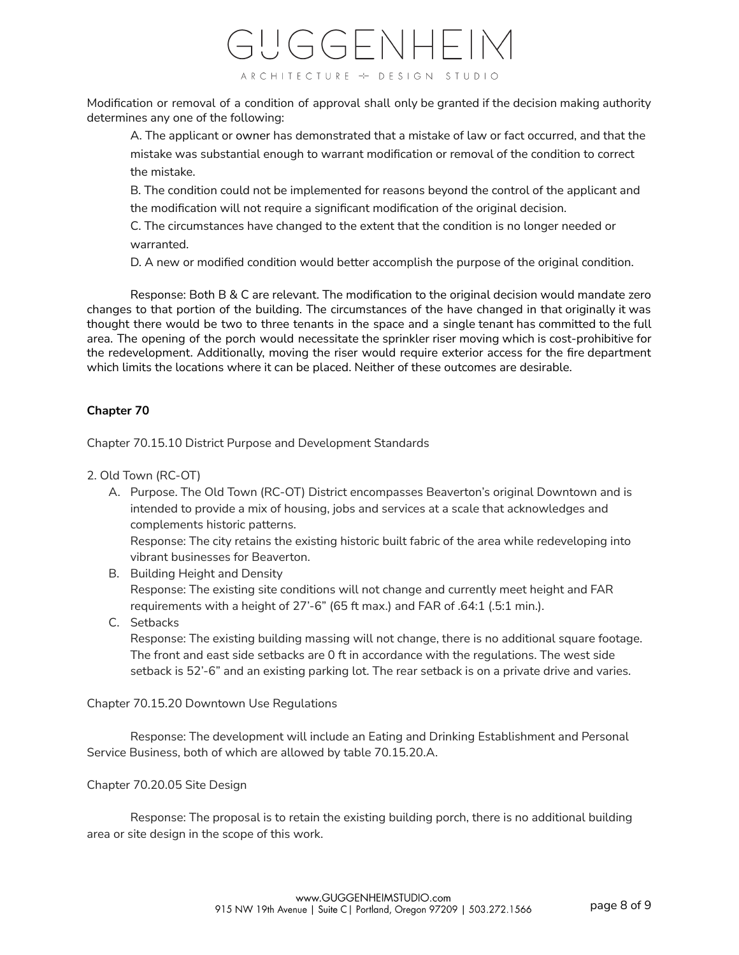Modification or removal of a condition of approval shall only be granted if the decision making authority determines any one of the following:

A. The applicant or [owner](http://online.encodeplus.com/regs/beaverton-or/doc-view.aspx?pn=0&ajax=0&secid=1153) has demonstrated that a mistake of law or fact occurred, and that the mistake was substantial enough to warrant modification or removal of the condition to correct the mistake.

B. The condition could not be implemented for reasons beyond the control of the applicant and the modification will not require a significant modification of the original decision.

C. The circumstances have changed to the extent that the condition is no longer needed or warranted.

D. A new or modified condition would better accomplish the purpose of the original condition.

Response: Both B & C are relevant. The modification to the original decision would mandate zero changes to that portion of the building. The circumstances of the have changed in that originally it was thought there would be two to three tenants in the space and a single tenant has committed to the full area. The opening of the porch would necessitate the sprinkler riser moving which is cost-prohibitive for the redevelopment. Additionally, moving the riser would require exterior access for the fire department which limits the locations where it can be placed. Neither of these outcomes are desirable.

### **Chapter 70**

Chapter 70.15.10 District Purpose and Development Standards

- 2. Old Town (RC-OT)
	- A. Purpose. The Old Town (RC-OT) District encompasses Beaverton's original Downtown and is intended to provide a mix of housing, jobs and services at a scale that acknowledges and complements historic patterns.

Response: The city retains the existing historic built fabric of the area while redeveloping into vibrant businesses for Beaverton.

- B. Building Height and Density Response: The existing site conditions will not change and currently meet height and FAR requirements with a height of 27'-6" (65 ft max.) and FAR of .64:1 (.5:1 min.).
- C. Setbacks

Response: The existing building massing will not change, there is no additional square footage. The front and east side setbacks are 0 ft in accordance with the regulations. The west side setback is 52'-6" and an existing parking lot. The rear setback is on a private drive and varies.

#### Chapter 70.15.20 Downtown Use Regulations

Response: The development will include an Eating and Drinking Establishment and Personal Service Business, both of which are allowed by table 70.15.20.A.

### Chapter 70.20.05 Site Design

Response: The proposal is to retain the existing building porch, there is no additional building area or site design in the scope of this work.